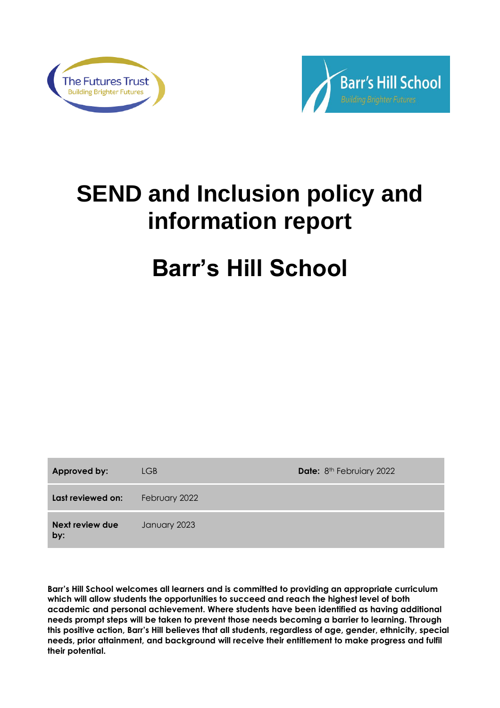



# **SEND and Inclusion policy and information report**

# **Barr's Hill School**

| Approved by:           | LGB           | Date: 8 <sup>th</sup> Februiary 2022 |
|------------------------|---------------|--------------------------------------|
| Last reviewed on:      | February 2022 |                                      |
| Next review due<br>by: | January 2023  |                                      |

**Barr's Hill School welcomes all learners and is committed to providing an appropriate curriculum which will allow students the opportunities to succeed and reach the highest level of both academic and personal achievement. Where students have been identified as having additional needs prompt steps will be taken to prevent those needs becoming a barrier to learning. Through this positive action, Barr's Hill believes that all students, regardless of age, gender, ethnicity, special needs, prior attainment, and background will receive their entitlement to make progress and fulfil their potential.**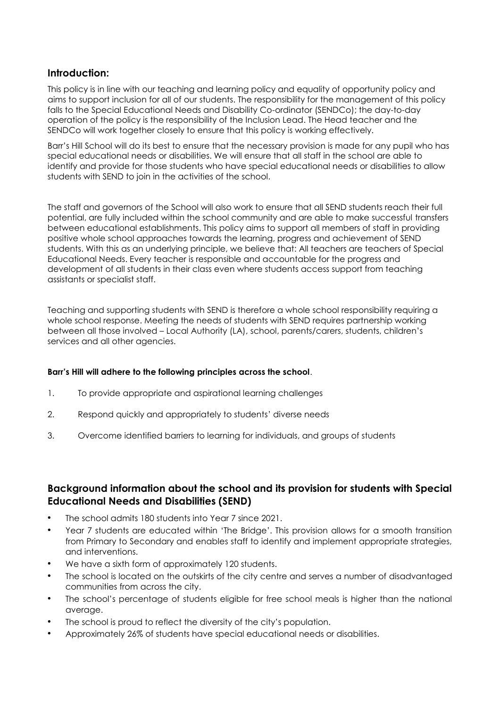# **Introduction:**

This policy is in line with our teaching and learning policy and equality of opportunity policy and aims to support inclusion for all of our students. The responsibility for the management of this policy falls to the Special Educational Needs and Disability Co-ordinator (SENDCo); the day-to-day operation of the policy is the responsibility of the Inclusion Lead. The Head teacher and the SENDCo will work together closely to ensure that this policy is working effectively.

Barr's Hill School will do its best to ensure that the necessary provision is made for any pupil who has special educational needs or disabilities. We will ensure that all staff in the school are able to identify and provide for those students who have special educational needs or disabilities to allow students with SEND to join in the activities of the school.

The staff and governors of the School will also work to ensure that all SEND students reach their full potential, are fully included within the school community and are able to make successful transfers between educational establishments. This policy aims to support all members of staff in providing positive whole school approaches towards the learning, progress and achievement of SEND students. With this as an underlying principle, we believe that: All teachers are teachers of Special Educational Needs. Every teacher is responsible and accountable for the progress and development of all students in their class even where students access support from teaching assistants or specialist staff.

Teaching and supporting students with SEND is therefore a whole school responsibility requiring a whole school response. Meeting the needs of students with SEND requires partnership working between all those involved – Local Authority (LA), school, parents/carers, students, children's services and all other agencies.

## **Barr's Hill will adhere to the following principles across the school**.

- 1. To provide appropriate and aspirational learning challenges
- 2. Respond quickly and appropriately to students' diverse needs
- 3. Overcome identified barriers to learning for individuals, and groups of students

# **Background information about the school and its provision for students with Special Educational Needs and Disabilities (SEND)**

- The school admits 180 students into Year 7 since 2021.
- Year 7 students are educated within 'The Bridge'. This provision allows for a smooth transition from Primary to Secondary and enables staff to identify and implement appropriate strategies, and interventions.
- We have a sixth form of approximately 120 students.
- The school is located on the outskirts of the city centre and serves a number of disadvantaged communities from across the city.
- The school's percentage of students eligible for free school meals is higher than the national average.
- The school is proud to reflect the diversity of the city's population.
- Approximately 26% of students have special educational needs or disabilities.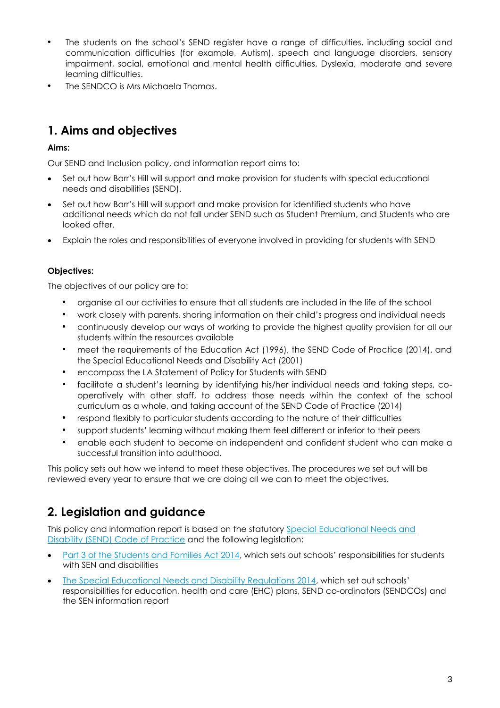- The students on the school's SEND register have a range of difficulties, including social and communication difficulties (for example, Autism), speech and language disorders, sensory impairment, social, emotional and mental health difficulties, Dyslexia, moderate and severe learning difficulties.
- The SENDCO is Mrs Michaela Thomas.

# **1. Aims and objectives**

## **Aims:**

Our SEND and Inclusion policy, and information report aims to:

- Set out how Barr's Hill will support and make provision for students with special educational needs and disabilities (SEND).
- Set out how Barr's Hill will support and make provision for identified students who have additional needs which do not fall under SEND such as Student Premium, and Students who are looked after.
- Explain the roles and responsibilities of everyone involved in providing for students with SEND

## **Objectives:**

The objectives of our policy are to:

- organise all our activities to ensure that all students are included in the life of the school
- work closely with parents, sharing information on their child's progress and individual needs
- continuously develop our ways of working to provide the highest quality provision for all our students within the resources available
- meet the requirements of the Education Act (1996), the SEND Code of Practice (2014), and the Special Educational Needs and Disability Act (2001)
- encompass the LA Statement of Policy for Students with SEND
- facilitate a student's learning by identifying his/her individual needs and taking steps, cooperatively with other staff, to address those needs within the context of the school curriculum as a whole, and taking account of the SEND Code of Practice (2014)
- respond flexibly to particular students according to the nature of their difficulties
- support students' learning without making them feel different or inferior to their peers
- enable each student to become an independent and confident student who can make a successful transition into adulthood.

This policy sets out how we intend to meet these objectives. The procedures we set out will be reviewed every year to ensure that we are doing all we can to meet the objectives.

# **2. Legislation and guidance**

This policy and information report is based on the statutory [Special Educational Needs and](https://www.gov.uk/government/uploads/system/uploads/attachment_data/file/398815/SEND_Code_of_Practice_January_2015.pdf)  [Disability \(SEND\) Code of Practice](https://www.gov.uk/government/uploads/system/uploads/attachment_data/file/398815/SEND_Code_of_Practice_January_2015.pdf) and the following legislation:

- Part 3 of the Students [and Families Act 2014](http://www.legislation.gov.uk/ukpga/2014/6/part/3), which sets out schools' responsibilities for students with SEN and disabilities
- [The Special Educational Needs and Disability Regulations 2014,](http://www.legislation.gov.uk/uksi/2014/1530/contents/made) which set out schools' responsibilities for education, health and care (EHC) plans, SEND co-ordinators (SENDCOs) and the SEN information report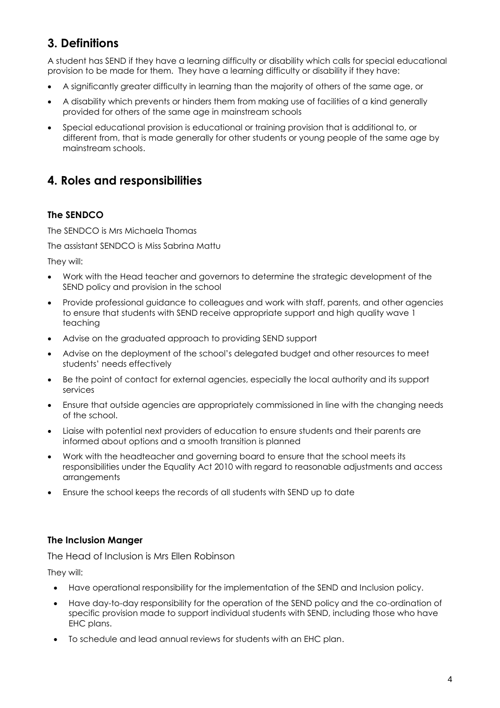# **3. Definitions**

A student has SEND if they have a learning difficulty or disability which calls for special educational provision to be made for them. They have a learning difficulty or disability if they have:

- A significantly greater difficulty in learning than the majority of others of the same age, or
- A disability which prevents or hinders them from making use of facilities of a kind generally provided for others of the same age in mainstream schools
- Special educational provision is educational or training provision that is additional to, or different from, that is made generally for other students or young people of the same age by mainstream schools.

# **4. Roles and responsibilities**

# **The SENDCO**

The SENDCO is Mrs Michaela Thomas

The assistant SENDCO is Miss Sabrina Mattu

They will:

- Work with the Head teacher and governors to determine the strategic development of the SEND policy and provision in the school
- Provide professional guidance to colleagues and work with staff, parents, and other agencies to ensure that students with SEND receive appropriate support and high quality wave 1 teaching
- Advise on the graduated approach to providing SEND support
- Advise on the deployment of the school's delegated budget and other resources to meet students' needs effectively
- Be the point of contact for external agencies, especially the local authority and its support services
- Ensure that outside agencies are appropriately commissioned in line with the changing needs of the school.
- Liaise with potential next providers of education to ensure students and their parents are informed about options and a smooth transition is planned
- Work with the headteacher and governing board to ensure that the school meets its responsibilities under the Equality Act 2010 with regard to reasonable adjustments and access arrangements
- Ensure the school keeps the records of all students with SEND up to date

# **The Inclusion Manger**

The Head of Inclusion is Mrs Ellen Robinson

They will:

- Have operational responsibility for the implementation of the SEND and Inclusion policy.
- Have day-to-day responsibility for the operation of the SEND policy and the co-ordination of specific provision made to support individual students with SEND, including those who have EHC plans.
- To schedule and lead annual reviews for students with an EHC plan.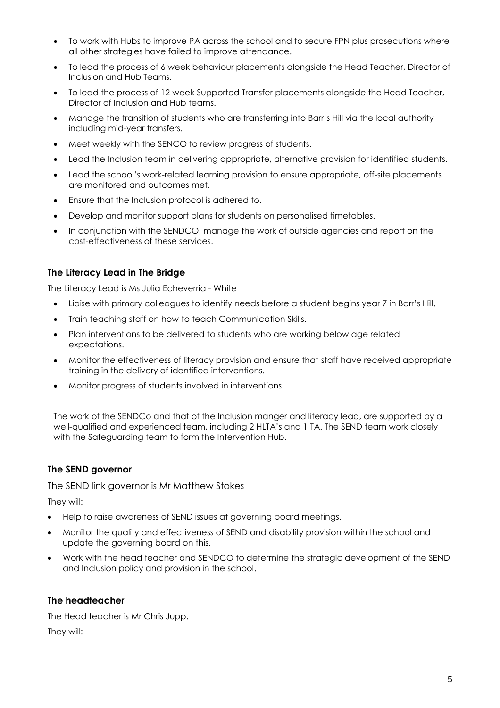- To work with Hubs to improve PA across the school and to secure FPN plus prosecutions where all other strategies have failed to improve attendance.
- To lead the process of 6 week behaviour placements alongside the Head Teacher, Director of Inclusion and Hub Teams.
- To lead the process of 12 week Supported Transfer placements alongside the Head Teacher, Director of Inclusion and Hub teams.
- Manage the transition of students who are transferring into Barr's Hill via the local authority including mid-year transfers.
- Meet weekly with the SENCO to review progress of students.
- Lead the Inclusion team in delivering appropriate, alternative provision for identified students.
- Lead the school's work-related learning provision to ensure appropriate, off-site placements are monitored and outcomes met.
- Ensure that the Inclusion protocol is adhered to.
- Develop and monitor support plans for students on personalised timetables.
- In conjunction with the SENDCO, manage the work of outside agencies and report on the cost-effectiveness of these services.

## **The Literacy Lead in The Bridge**

The Literacy Lead is Ms Julia Echeverria - White

- Liaise with primary colleagues to identify needs before a student begins year 7 in Barr's Hill.
- Train teaching staff on how to teach Communication Skills.
- Plan interventions to be delivered to students who are working below age related expectations.
- Monitor the effectiveness of literacy provision and ensure that staff have received appropriate training in the delivery of identified interventions.
- Monitor progress of students involved in interventions.

The work of the SENDCo and that of the Inclusion manger and literacy lead, are supported by a well-qualified and experienced team, including 2 HLTA's and 1 TA. The SEND team work closely with the Safeguarding team to form the Intervention Hub.

## **The SEND governor**

The SEND link governor is Mr Matthew Stokes

They will:

- Help to raise awareness of SEND issues at governing board meetings.
- Monitor the quality and effectiveness of SEND and disability provision within the school and update the governing board on this.
- Work with the head teacher and SENDCO to determine the strategic development of the SEND and Inclusion policy and provision in the school.

## **The headteacher**

The Head teacher is Mr Chris Jupp.

They will: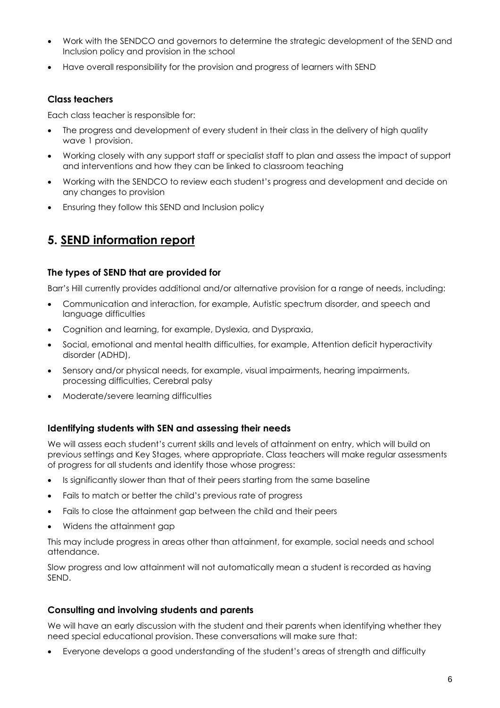- Work with the SENDCO and governors to determine the strategic development of the SEND and Inclusion policy and provision in the school
- Have overall responsibility for the provision and progress of learners with SEND

# **Class teachers**

Each class teacher is responsible for:

- The progress and development of every student in their class in the delivery of high quality wave 1 provision.
- Working closely with any support staff or specialist staff to plan and assess the impact of support and interventions and how they can be linked to classroom teaching
- Working with the SENDCO to review each student's progress and development and decide on any changes to provision
- Ensuring they follow this SEND and Inclusion policy

# **5. SEND information report**

## **The types of SEND that are provided for**

Barr's Hill currently provides additional and/or alternative provision for a range of needs, including:

- Communication and interaction, for example, Autistic spectrum disorder, and speech and language difficulties
- Cognition and learning, for example, Dyslexia, and Dyspraxia,
- Social, emotional and mental health difficulties, for example, Attention deficit hyperactivity disorder (ADHD),
- Sensory and/or physical needs, for example, visual impairments, hearing impairments, processing difficulties, Cerebral palsy
- Moderate/severe learning difficulties

## **Identifying students with SEN and assessing their needs**

We will assess each student's current skills and levels of attainment on entry, which will build on previous settings and Key Stages, where appropriate. Class teachers will make regular assessments of progress for all students and identify those whose progress:

- Is significantly slower than that of their peers starting from the same baseline
- Fails to match or better the child's previous rate of progress
- Fails to close the attainment gap between the child and their peers
- Widens the attainment gap

This may include progress in areas other than attainment, for example, social needs and school attendance.

Slow progress and low attainment will not automatically mean a student is recorded as having SEND.

## **Consulting and involving students and parents**

We will have an early discussion with the student and their parents when identifying whether they need special educational provision. These conversations will make sure that:

• Everyone develops a good understanding of the student's areas of strength and difficulty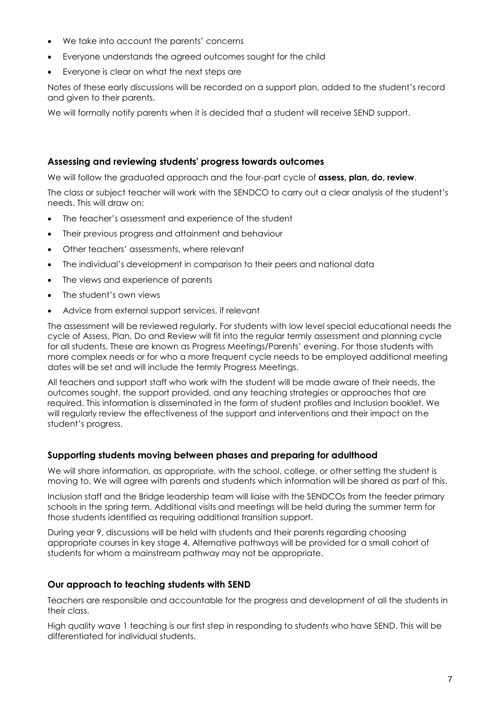- We take into account the parents' concerns
- Everyone understands the agreed outcomes sought for the child
- Everyone is clear on what the next steps are

Notes of these early discussions will be recorded on a support plan, added to the student's record and given to their parents.

We will formally notify parents when it is decided that a student will receive SEND support.

#### **Assessing and reviewing students' progress towards outcomes**

We will follow the graduated approach and the four-part cycle of **assess, plan, do, review**.

The class or subject teacher will work with the SENDCO to carry out a clear analysis of the student's needs. This will draw on:

- The teacher's assessment and experience of the student
- Their previous progress and attainment and behaviour
- Other teachers' assessments, where relevant
- The individual's development in comparison to their peers and national data
- The views and experience of parents
- The student's own views
- Advice from external support services, if relevant

The assessment will be reviewed regularly. For students with low level special educational needs the cycle of Assess, Plan, Do and Review will fit into the regular termly assessment and planning cycle for all students. These are known as Progress Meetings/Parents' evening. For those students with more complex needs or for who a more frequent cycle needs to be employed additional meeting dates will be set and will include the termly Progress Meetings.

All teachers and support staff who work with the student will be made aware of their needs, the outcomes sought, the support provided, and any teaching strategies or approaches that are required. This information is disseminated in the form of student profiles and Inclusion booklet. We will regularly review the effectiveness of the support and interventions and their impact on the student's progress.

## **Supporting students moving between phases and preparing for adulthood**

We will share information, as appropriate, with the school, college, or other setting the student is moving to. We will agree with parents and students which information will be shared as part of this.

Inclusion staff and the Bridge leadership team will liaise with the SENDCOs from the feeder primary schools in the spring term. Additional visits and meetings will be held during the summer term for those students identified as requiring additional transition support.

During year 9, discussions will be held with students and their parents regarding choosing appropriate courses in key stage 4. Alternative pathways will be provided for a small cohort of students for whom a mainstream pathway may not be appropriate.

## **Our approach to teaching students with SEND**

Teachers are responsible and accountable for the progress and development of all the students in their class.

High quality wave 1 teaching is our first step in responding to students who have SEND. This will be differentiated for individual students.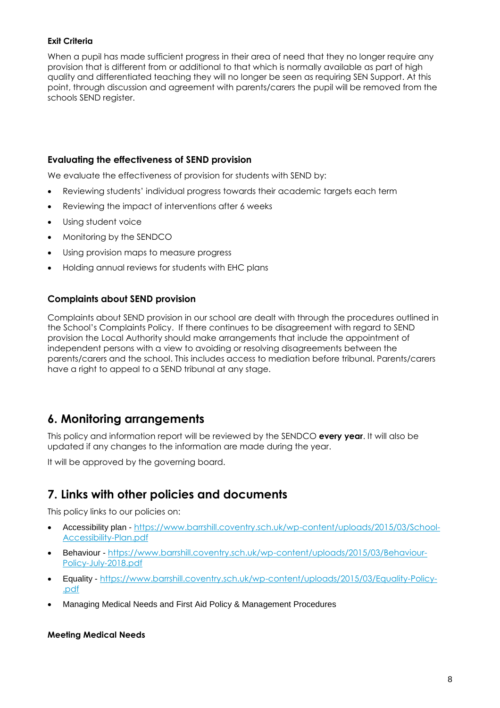## **Exit Criteria**

When a pupil has made sufficient progress in their area of need that they no longer require any provision that is different from or additional to that which is normally available as part of high quality and differentiated teaching they will no longer be seen as requiring SEN Support. At this point, through discussion and agreement with parents/carers the pupil will be removed from the schools SEND register.

## **Evaluating the effectiveness of SEND provision**

We evaluate the effectiveness of provision for students with SEND by:

- Reviewing students' individual progress towards their academic targets each term
- Reviewing the impact of interventions after 6 weeks
- Using student voice
- Monitoring by the SENDCO
- Using provision maps to measure progress
- Holding annual reviews for students with EHC plans

## **Complaints about SEND provision**

Complaints about SEND provision in our school are dealt with through the procedures outlined in the School's Complaints Policy. If there continues to be disagreement with regard to SEND provision the Local Authority should make arrangements that include the appointment of independent persons with a view to avoiding or resolving disagreements between the parents/carers and the school. This includes access to mediation before tribunal. Parents/carers have a right to appeal to a SEND tribunal at any stage.

# **6. Monitoring arrangements**

This policy and information report will be reviewed by the SENDCO **every year**. It will also be updated if any changes to the information are made during the year.

It will be approved by the governing board.

# **7. Links with other policies and documents**

This policy links to our policies on:

- Accessibility plan [https://www.barrshill.coventry.sch.uk/wp-content/uploads/2015/03/School-](https://www.barrshill.coventry.sch.uk/wp-content/uploads/2015/03/School-Accessibility-Plan.pdf)[Accessibility-Plan.pdf](https://www.barrshill.coventry.sch.uk/wp-content/uploads/2015/03/School-Accessibility-Plan.pdf)
- Behaviour [https://www.barrshill.coventry.sch.uk/wp-content/uploads/2015/03/Behaviour-](https://www.barrshill.coventry.sch.uk/wp-content/uploads/2015/03/Behaviour-Policy-July-2018.pdf)[Policy-July-2018.pdf](https://www.barrshill.coventry.sch.uk/wp-content/uploads/2015/03/Behaviour-Policy-July-2018.pdf)
- Equality [https://www.barrshill.coventry.sch.uk/wp-content/uploads/2015/03/Equality-Policy-](https://www.barrshill.coventry.sch.uk/wp-content/uploads/2015/03/Equality-Policy-.pdf) [.pdf](https://www.barrshill.coventry.sch.uk/wp-content/uploads/2015/03/Equality-Policy-.pdf)
- Managing Medical Needs and First Aid Policy & Management Procedures

#### **Meeting Medical Needs**